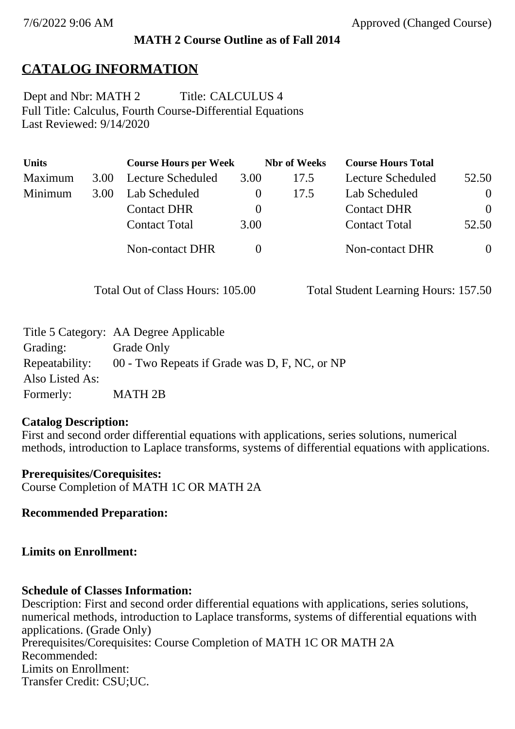## **MATH 2 Course Outline as of Fall 2014**

# **CATALOG INFORMATION**

Full Title: Calculus, Fourth Course-Differential Equations Last Reviewed: 9/14/2020 Dept and Nbr: MATH 2 Title: CALCULUS 4

| <b>Units</b> |      | <b>Course Hours per Week</b> |          | <b>Nbr</b> of Weeks | <b>Course Hours Total</b> |          |
|--------------|------|------------------------------|----------|---------------------|---------------------------|----------|
| Maximum      | 3.00 | Lecture Scheduled            | 3.00     | 17.5                | Lecture Scheduled         | 52.50    |
| Minimum      | 3.00 | Lab Scheduled                |          | 17.5                | Lab Scheduled             | $\theta$ |
|              |      | <b>Contact DHR</b>           | $\theta$ |                     | <b>Contact DHR</b>        | $\Omega$ |
|              |      | <b>Contact Total</b>         | 3.00     |                     | <b>Contact Total</b>      | 52.50    |
|              |      | Non-contact DHR              |          |                     | <b>Non-contact DHR</b>    | $\theta$ |

Total Out of Class Hours: 105.00 Total Student Learning Hours: 157.50

|                 | Title 5 Category: AA Degree Applicable        |
|-----------------|-----------------------------------------------|
| Grading:        | Grade Only                                    |
| Repeatability:  | 00 - Two Repeats if Grade was D, F, NC, or NP |
| Also Listed As: |                                               |
| Formerly:       | <b>MATH 2B</b>                                |

### **Catalog Description:**

First and second order differential equations with applications, series solutions, numerical methods, introduction to Laplace transforms, systems of differential equations with applications.

**Prerequisites/Corequisites:** Course Completion of MATH 1C OR MATH 2A

**Recommended Preparation:**

## **Limits on Enrollment:**

## **Schedule of Classes Information:**

Description: First and second order differential equations with applications, series solutions, numerical methods, introduction to Laplace transforms, systems of differential equations with applications. (Grade Only) Prerequisites/Corequisites: Course Completion of MATH 1C OR MATH 2A Recommended: Limits on Enrollment: Transfer Credit: CSU;UC.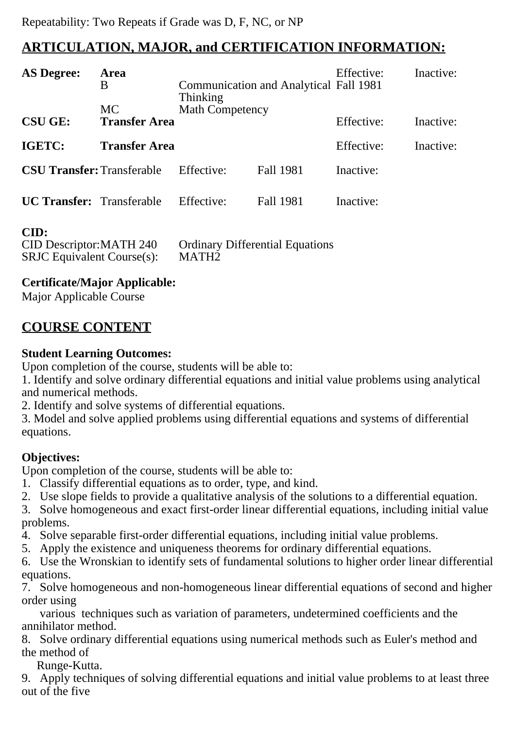## **ARTICULATION, MAJOR, and CERTIFICATION INFORMATION:**

| <b>AS Degree:</b>                 | Area<br>B<br><b>MC</b> | <b>Thinking</b><br><b>Math Competency</b> | <b>Communication and Analytical Fall 1981</b> | Effective: | Inactive: |
|-----------------------------------|------------------------|-------------------------------------------|-----------------------------------------------|------------|-----------|
| <b>CSU GE:</b>                    | <b>Transfer Area</b>   |                                           |                                               | Effective: | Inactive: |
| <b>IGETC:</b>                     | <b>Transfer Area</b>   |                                           |                                               | Effective: | Inactive: |
| <b>CSU Transfer: Transferable</b> |                        | Effective:                                | <b>Fall 1981</b>                              | Inactive:  |           |
| <b>UC Transfer:</b> Transferable  |                        | Effective:                                | <b>Fall 1981</b>                              | Inactive:  |           |

#### **CID:**

| CID Descriptor: MATH 240         | <b>Ordinary Differential Equations</b> |
|----------------------------------|----------------------------------------|
| $SRJC$ Equivalent Course $(s)$ : | MATH <sub>2</sub>                      |

### **Certificate/Major Applicable:**

[Major Applicable Course](SR_ClassCheck.aspx?CourseKey=MATH2)

## **COURSE CONTENT**

#### **Student Learning Outcomes:**

Upon completion of the course, students will be able to:

1. Identify and solve ordinary differential equations and initial value problems using analytical and numerical methods.

2. Identify and solve systems of differential equations.

3. Model and solve applied problems using differential equations and systems of differential equations.

### **Objectives:**

Upon completion of the course, students will be able to:

- 1. Classify differential equations as to order, type, and kind.
- 2. Use slope fields to provide a qualitative analysis of the solutions to a differential equation.

3. Solve homogeneous and exact first-order linear differential equations, including initial value problems.

- 4. Solve separable first-order differential equations, including initial value problems.
- 5. Apply the existence and uniqueness theorems for ordinary differential equations.

6. Use the Wronskian to identify sets of fundamental solutions to higher order linear differential equations.

7. Solve homogeneous and non-homogeneous linear differential equations of second and higher order using

 various techniques such as variation of parameters, undetermined coefficients and the annihilator method.

8. Solve ordinary differential equations using numerical methods such as Euler's method and the method of

Runge-Kutta.

9. Apply techniques of solving differential equations and initial value problems to at least three out of the five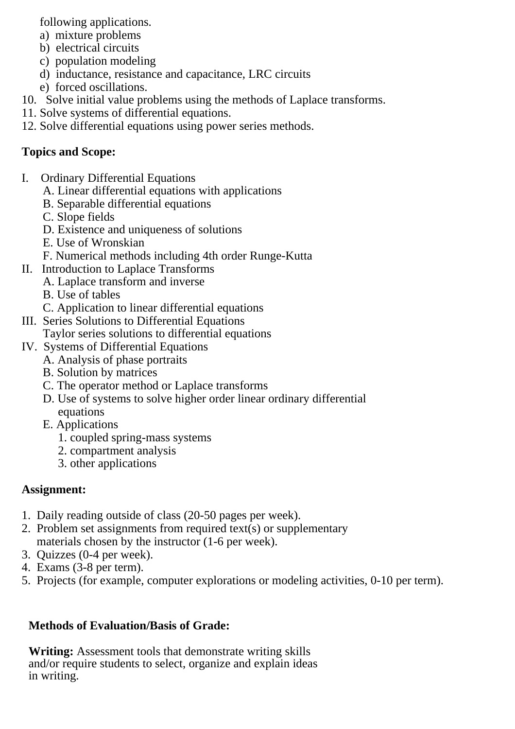following applications.

- a) mixture problems
- b) electrical circuits
- c) population modeling
- d) inductance, resistance and capacitance, LRC circuits
- e) forced oscillations.
- 10. Solve initial value problems using the methods of Laplace transforms.
- 11. Solve systems of differential equations.
- 12. Solve differential equations using power series methods.

## **Topics and Scope:**

- I. Ordinary Differential Equations
	- A. Linear differential equations with applications
	- B. Separable differential equations
	- C. Slope fields
	- D. Existence and uniqueness of solutions
	- E. Use of Wronskian
	- F. Numerical methods including 4th order Runge-Kutta
- II. Introduction to Laplace Transforms
	- A. Laplace transform and inverse
	- B. Use of tables
	- C. Application to linear differential equations
- III. Series Solutions to Differential Equations
- Taylor series solutions to differential equations
- IV. Systems of Differential Equations
	- A. Analysis of phase portraits
		- B. Solution by matrices
		- C. The operator method or Laplace transforms
		- D. Use of systems to solve higher order linear ordinary differential equations
		- E. Applications
			- 1. coupled spring-mass systems
			- 2. compartment analysis
			- 3. other applications

# **Assignment:**

- 1. Daily reading outside of class (20-50 pages per week).
- 2. Problem set assignments from required text(s) or supplementary materials chosen by the instructor (1-6 per week).
- 3. Quizzes (0-4 per week).
- 4. Exams (3-8 per term).
- 5. Projects (for example, computer explorations or modeling activities, 0-10 per term).

## **Methods of Evaluation/Basis of Grade:**

**Writing:** Assessment tools that demonstrate writing skills and/or require students to select, organize and explain ideas in writing.